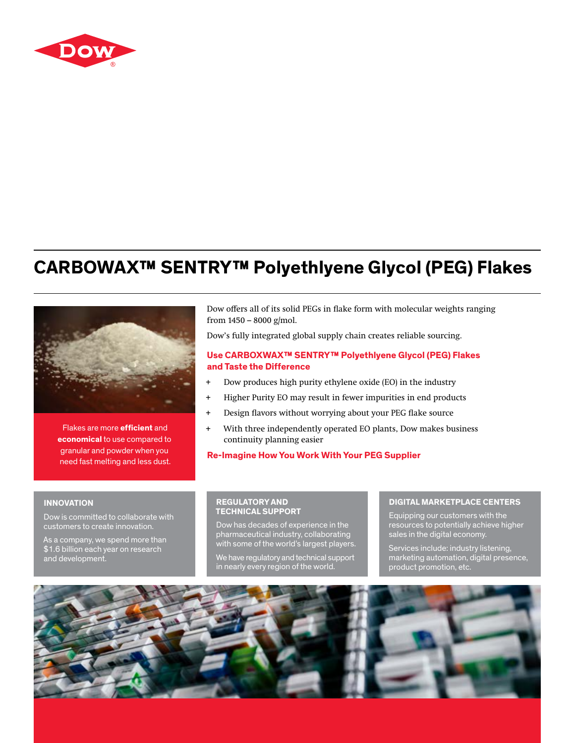

# **CARBOWAX™ SENTRY™ Polyethlyene Glycol (PEG) Flakes**



 Flakes are more **efficient** and **economical** to use compared to granular and powder when you need fast melting and less dust.

Dow offers all of its solid PEGs in flake form with molecular weights ranging from  $1450 - 8000$  g/mol.

Dow's fully integrated global supply chain creates reliable sourcing.

## **Use CARBOXWAX™ SENTRY™ Polyethlyene Glycol (PEG) Flakes and Taste the Difference**

- + Dow produces high purity ethylene oxide (EO) in the industry
- + Higher Purity EO may result in fewer impurities in end products
- + Design flavors without worrying about your PEG flake source
- + With three independently operated EO plants, Dow makes business continuity planning easier

**Re-Imagine How You Work With Your PEG Supplier**

### **INNOVATION**

Dow is committed to collaborate with customers to create innovation.

As a company, we spend more than \$1.6 billion each year on research and development.

## **REGULATORY AND TECHNICAL SUPPORT**

Dow has decades of experience in the pharmaceutical industry, collaborating with some of the world's largest players.

We have regulatory and technical support in nearly every region of the world.

#### **DIGITAL MARKETPLACE CENTERS**

Equipping our customers with the resources to potentially achieve higher sales in the digital economy.

Services include: industry listening, marketing automation, digital presence, product promotion, etc.